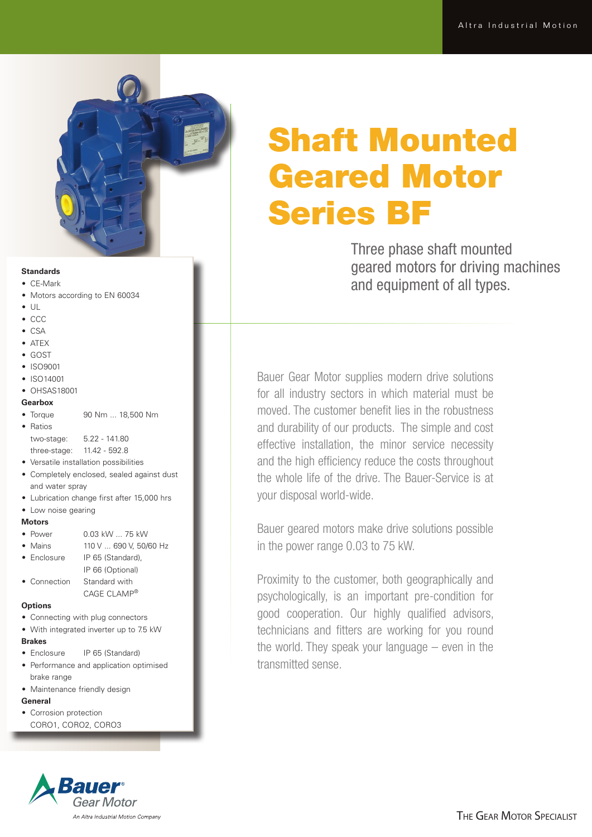

## **Standards**

- • CE-Mark
- Motors according to EN 60034
- $\bullet$  UL
- • CCC
- • CSA
- ATEX
- • GOST
- ISO9001
- ISO14001
- OHSAS18001

### **Gearbox**

• Torque 90 Nm ... 18,500 Nm

| я |  |  |
|---|--|--|
|---|--|--|

| two-stage:   | $5.22 - 141.80$ |
|--------------|-----------------|
| three-stage: | 11.42 - 592.8   |

- • Versatile installation possibilities
- Completely enclosed, sealed against dust and water spray
- Lubrication change first after 15,000 hrs
- Low noise gearing

### **Motors**

- Power  $0.03$  kW  $.75$  kW
- Mains 110 V ... 690 V, 50/60 Hz
- Enclosure IP 65 (Standard), IP 66 (Optional)
- Connection Standard with CAGE CLAMP®

# **Options**

- Connecting with plug connectors
- With integrated inverter up to 7.5 kW
- **Brakes**
- Enclosure IP 65 (Standard)
- Performance and application optimised brake range
- Maintenance friendly design

# **General**

• Corrosion protection CORO1, CORO2, CORO3



# Shaft Mounted Geared Motor Series BF

Three phase shaft mounted geared motors for driving machines and equipment of all types.

Bauer Gear Motor supplies modern drive solutions for all industry sectors in which material must be moved. The customer benefit lies in the robustness and durability of our products. The simple and cost effective installation, the minor service necessity and the high efficiency reduce the costs throughout the whole life of the drive. The Bauer-Service is at your disposal world-wide.

Bauer geared motors make drive solutions possible in the power range 0.03 to 75 kW.

Proximity to the customer, both geographically and psychologically, is an important pre-condition for good cooperation. Our highly qualified advisors, technicians and fitters are working for you round the world. They speak your language – even in the transmitted sense.